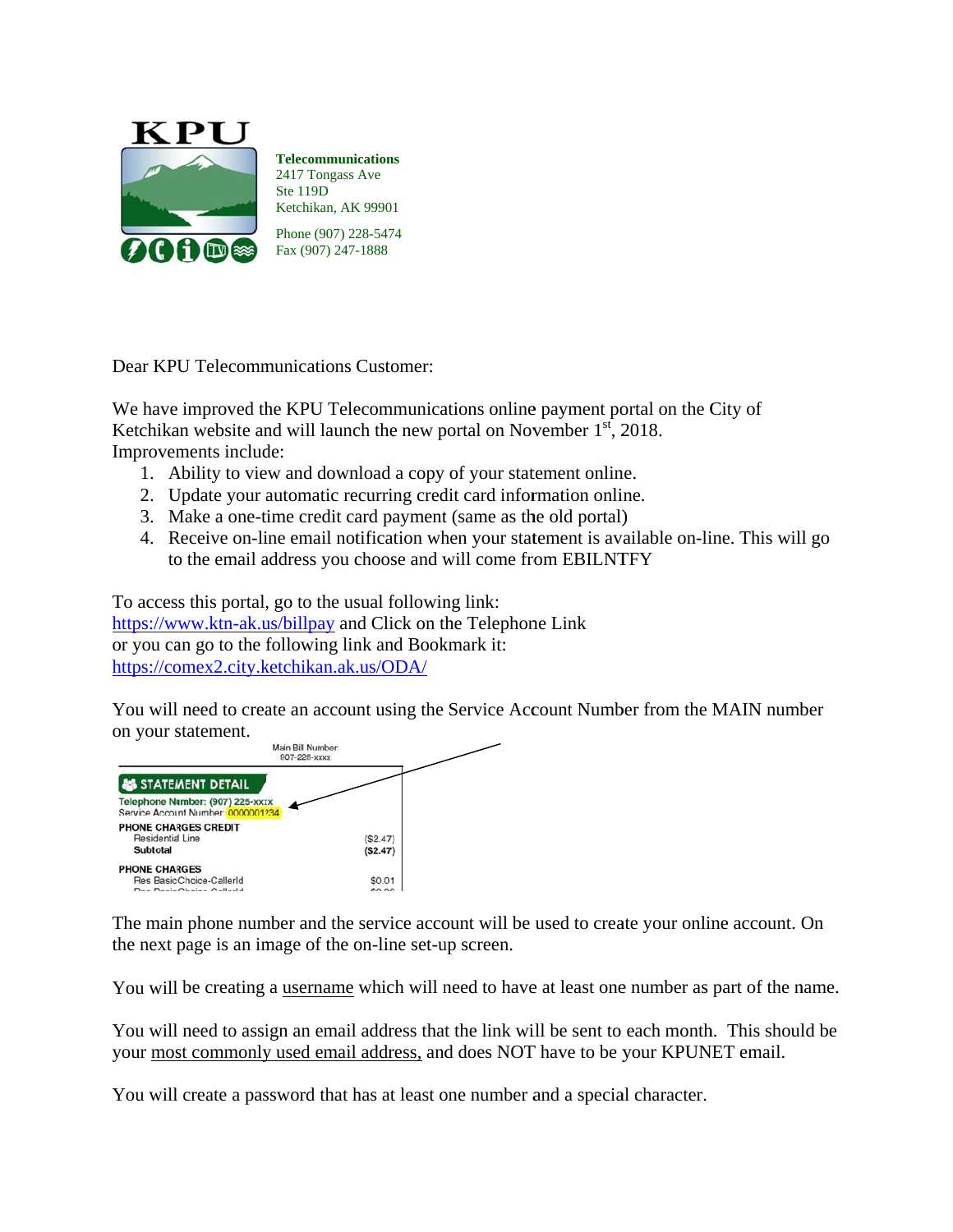

**Telecommunications** 2417 Tongass Ave Ste 119D Ketchikan, AK 99901 Phone (907) 228-5474 Fax (907) 247-1888

Dear KPU Telecommunications Customer:

We have improved the KPU Telecommunications online payment portal on the City of Ketchikan website and will launch the new portal on November  $1<sup>st</sup>$ , 2018. Improvements include:

- 1. Ability to view and download a copy of your statement online.
- 2. Update your automatic recurring credit card information online.
- 3. Make a one-time credit card payment (same as the old portal)
- 4. Receive on-line email notification when your statement is available on-line. This will go to the email address you choose and will come from EBILNTFY

To access this portal, go to the usual following link: https://www.ktn-ak.us/billpay and Click on the Telephone Link or you can go to the following link and Bookmark it: https://comex2.city.ketchikan.ak.us/ODA/

You will need to create an account using the Service Account Number from the MAIN number on your statement.



The main phone number and the service account will be used to create your online account. On the next page is an image of the on-line set-up screen.

You will be creating a username which will need to have at least one number as part of the name.

You will need to assign an email address that the link will be sent to each month. This should be your most commonly used email address, and does NOT have to be your KPUNET email.

You will create a password that has at least one number and a special character.